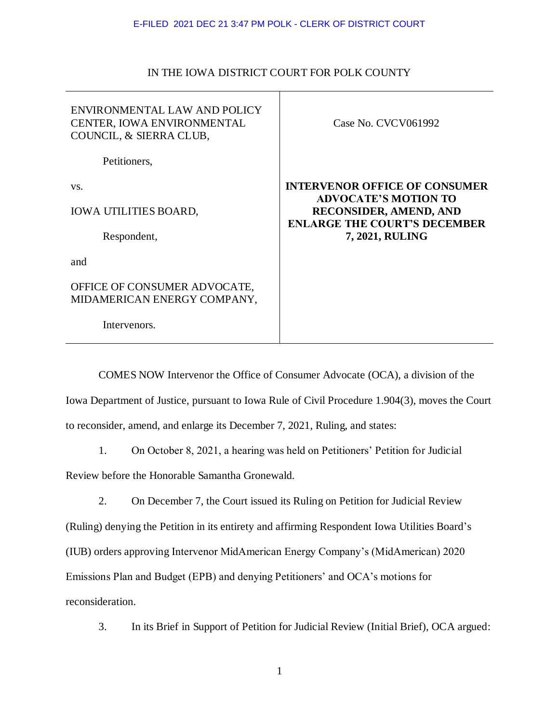## E-FILED 2021 DEC 21 3:47 PM POLK - CLERK OF DISTRICT COURT

## IN THE IOWA DISTRICT COURT FOR POLK COUNTY

| ENVIRONMENTAL LAW AND POLICY<br><b>CENTER, IOWA ENVIRONMENTAL</b><br>COUNCIL, & SIERRA CLUB, | Case No. CVCV061992                                                 |
|----------------------------------------------------------------------------------------------|---------------------------------------------------------------------|
| Petitioners,                                                                                 |                                                                     |
| VS.                                                                                          | <b>INTERVENOR OFFICE OF CONSUMER</b><br><b>ADVOCATE'S MOTION TO</b> |
| <b>IOWA UTILITIES BOARD,</b>                                                                 | <b>RECONSIDER, AMEND, AND</b>                                       |
| Respondent,                                                                                  | <b>ENLARGE THE COURT'S DECEMBER</b><br>7, 2021, RULING              |
| and                                                                                          |                                                                     |
| OFFICE OF CONSUMER ADVOCATE,<br>MIDAMERICAN ENERGY COMPANY,                                  |                                                                     |
| Intervenors.                                                                                 |                                                                     |

COMES NOW Intervenor the Office of Consumer Advocate (OCA), a division of the

Iowa Department of Justice, pursuant to Iowa Rule of Civil Procedure 1.904(3), moves the Court to reconsider, amend, and enlarge its December 7, 2021, Ruling, and states:

1. On October 8, 2021, a hearing was held on Petitioners' Petition for Judicial

Review before the Honorable Samantha Gronewald.

2. On December 7, the Court issued its Ruling on Petition for Judicial Review

(Ruling) denying the Petition in its entirety and affirming Respondent Iowa Utilities Board's (IUB) orders approving Intervenor MidAmerican Energy Company's (MidAmerican) 2020 Emissions Plan and Budget (EPB) and denying Petitioners' and OCA's motions for

reconsideration.

3. In its Brief in Support of Petition for Judicial Review (Initial Brief), OCA argued: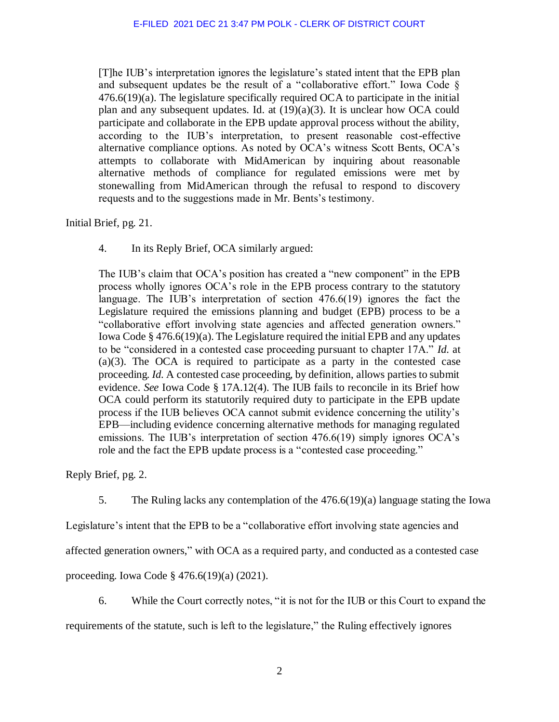[T]he IUB's interpretation ignores the legislature's stated intent that the EPB plan and subsequent updates be the result of a "collaborative effort." Iowa Code § 476.6(19)(a). The legislature specifically required OCA to participate in the initial plan and any subsequent updates. Id. at  $(19)(a)(3)$ . It is unclear how OCA could participate and collaborate in the EPB update approval process without the ability, according to the IUB's interpretation, to present reasonable cost-effective alternative compliance options. As noted by OCA's witness Scott Bents, OCA's attempts to collaborate with MidAmerican by inquiring about reasonable alternative methods of compliance for regulated emissions were met by stonewalling from MidAmerican through the refusal to respond to discovery requests and to the suggestions made in Mr. Bents's testimony.

Initial Brief, pg. 21.

4. In its Reply Brief, OCA similarly argued:

The IUB's claim that OCA's position has created a "new component" in the EPB process wholly ignores OCA's role in the EPB process contrary to the statutory language. The IUB's interpretation of section 476.6(19) ignores the fact the Legislature required the emissions planning and budget (EPB) process to be a "collaborative effort involving state agencies and affected generation owners." Iowa Code  $\S 476.6(19)(a)$ . The Legislature required the initial EPB and any updates to be "considered in a contested case proceeding pursuant to chapter 17A." *Id.* at (a)(3). The OCA is required to participate as a party in the contested case proceeding. *Id.* A contested case proceeding, by definition, allows parties to submit evidence. *See* Iowa Code § 17A.12(4). The IUB fails to reconcile in its Brief how OCA could perform its statutorily required duty to participate in the EPB update process if the IUB believes OCA cannot submit evidence concerning the utility's EPB—including evidence concerning alternative methods for managing regulated emissions. The IUB's interpretation of section 476.6(19) simply ignores OCA's role and the fact the EPB update process is a "contested case proceeding."

Reply Brief, pg. 2.

5. The Ruling lacks any contemplation of the 476.6(19)(a) language stating the Iowa

Legislature's intent that the EPB to be a "collaborative effort involving state agencies and

affected generation owners," with OCA as a required party, and conducted as a contested case

proceeding. Iowa Code § 476.6(19)(a) (2021).

6. While the Court correctly notes, "it is not for the IUB or this Court to expand the requirements of the statute, such is left to the legislature," the Ruling effectively ignores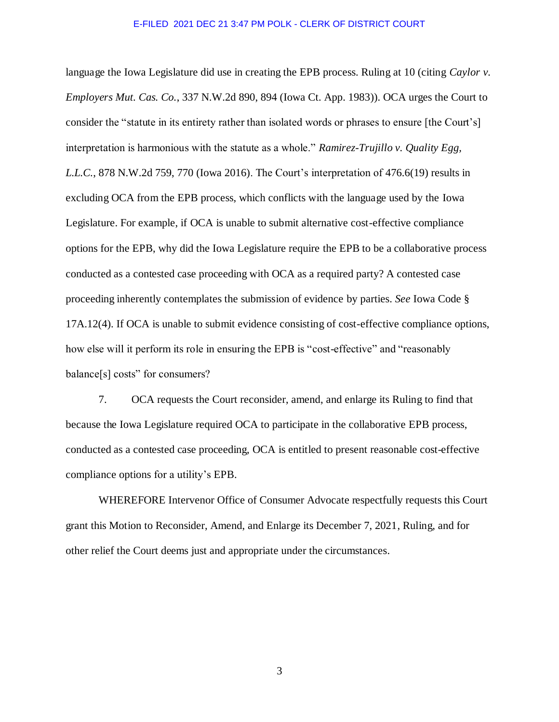## E-FILED 2021 DEC 21 3:47 PM POLK - CLERK OF DISTRICT COURT

language the Iowa Legislature did use in creating the EPB process. Ruling at 10 (citing *Caylor v. Employers Mut. Cas. Co.*, 337 N.W.2d 890, 894 (Iowa Ct. App. 1983)). OCA urges the Court to consider the "statute in its entirety rather than isolated words or phrases to ensure [the Court's] interpretation is harmonious with the statute as a whole." *Ramirez-Trujillo v. Quality Egg, L.L.C.*, 878 N.W.2d 759, 770 (Iowa 2016). The Court's interpretation of 476.6(19) results in excluding OCA from the EPB process, which conflicts with the language used by the Iowa Legislature. For example, if OCA is unable to submit alternative cost-effective compliance options for the EPB, why did the Iowa Legislature require the EPB to be a collaborative process conducted as a contested case proceeding with OCA as a required party? A contested case proceeding inherently contemplates the submission of evidence by parties. *See* Iowa Code § 17A.12(4). If OCA is unable to submit evidence consisting of cost-effective compliance options, how else will it perform its role in ensuring the EPB is "cost-effective" and "reasonably balance[s] costs" for consumers?

7. OCA requests the Court reconsider, amend, and enlarge its Ruling to find that because the Iowa Legislature required OCA to participate in the collaborative EPB process, conducted as a contested case proceeding, OCA is entitled to present reasonable cost-effective compliance options for a utility's EPB.

WHEREFORE Intervenor Office of Consumer Advocate respectfully requests this Court grant this Motion to Reconsider, Amend, and Enlarge its December 7, 2021, Ruling, and for other relief the Court deems just and appropriate under the circumstances.

3